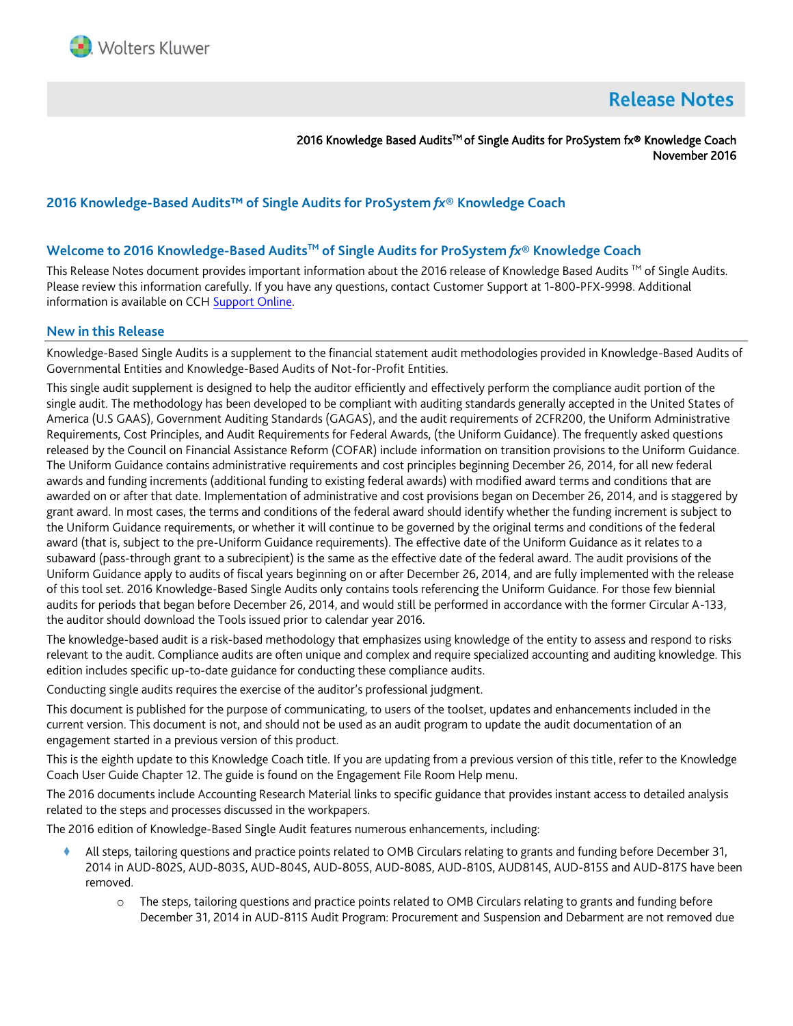

# **Release Notes**

2016 Knowledge Based Audits<sup>™</sup> of Single Audits for ProSystem fx® Knowledge Coach November 2016

# **2016 Knowledge-Based Audits™ of Single Audits for ProSystem** *fx***® Knowledge Coach**

## **Welcome to 2016 Knowledge-Based AuditsTM of Single Audits for ProSystem** *fx***® Knowledge Coach**

This Release Notes document provides important information about the 2016 release of Knowledge Based Audits ™ of Single Audits. Please review this information carefully. If you have any questions, contact Customer Support at 1-800-PFX-9998. Additional information is available on CC[H Support Online.](http://support.cch.com/productsupport/)

#### **New in this Release**

Knowledge-Based Single Audits is a supplement to the financial statement audit methodologies provided in Knowledge-Based Audits of Governmental Entities and Knowledge-Based Audits of Not-for-Profit Entities.

This single audit supplement is designed to help the auditor efficiently and effectively perform the compliance audit portion of the single audit. The methodology has been developed to be compliant with auditing standards generally accepted in the United States of America (U.S GAAS), Government Auditing Standards (GAGAS), and the audit requirements of 2CFR200, the Uniform Administrative Requirements, Cost Principles, and Audit Requirements for Federal Awards, (the Uniform Guidance). The frequently asked questions released by the Council on Financial Assistance Reform (COFAR) include information on transition provisions to the Uniform Guidance. The Uniform Guidance contains administrative requirements and cost principles beginning December 26, 2014, for all new federal awards and funding increments (additional funding to existing federal awards) with modified award terms and conditions that are awarded on or after that date. Implementation of administrative and cost provisions began on December 26, 2014, and is staggered by grant award. In most cases, the terms and conditions of the federal award should identify whether the funding increment is subject to the Uniform Guidance requirements, or whether it will continue to be governed by the original terms and conditions of the federal award (that is, subject to the pre-Uniform Guidance requirements). The effective date of the Uniform Guidance as it relates to a subaward (pass-through grant to a subrecipient) is the same as the effective date of the federal award. The audit provisions of the Uniform Guidance apply to audits of fiscal years beginning on or after December 26, 2014, and are fully implemented with the release of this tool set. 2016 Knowledge-Based Single Audits only contains tools referencing the Uniform Guidance. For those few biennial audits for periods that began before December 26, 2014, and would still be performed in accordance with the former Circular A-133, the auditor should download the Tools issued prior to calendar year 2016.

The knowledge-based audit is a risk-based methodology that emphasizes using knowledge of the entity to assess and respond to risks relevant to the audit. Compliance audits are often unique and complex and require specialized accounting and auditing knowledge. This edition includes specific up-to-date guidance for conducting these compliance audits.

Conducting single audits requires the exercise of the auditor's professional judgment.

This document is published for the purpose of communicating, to users of the toolset, updates and enhancements included in the current version. This document is not, and should not be used as an audit program to update the audit documentation of an engagement started in a previous version of this product.

This is the eighth update to this Knowledge Coach title. If you are updating from a previous version of this title, refer to the Knowledge Coach User Guide Chapter 12. The guide is found on the Engagement File Room Help menu.

The 2016 documents include Accounting Research Material links to specific guidance that provides instant access to detailed analysis related to the steps and processes discussed in the workpapers.

The 2016 edition of Knowledge-Based Single Audit features numerous enhancements, including:

- All steps, tailoring questions and practice points related to OMB Circulars relating to grants and funding before December 31, 2014 in AUD-802S, AUD-803S, AUD-804S, AUD-805S, AUD-808S, AUD-810S, AUD814S, AUD-815S and AUD-817S have been removed.
	- o The steps, tailoring questions and practice points related to OMB Circulars relating to grants and funding before December 31, 2014 in AUD-811S Audit Program: Procurement and Suspension and Debarment are not removed due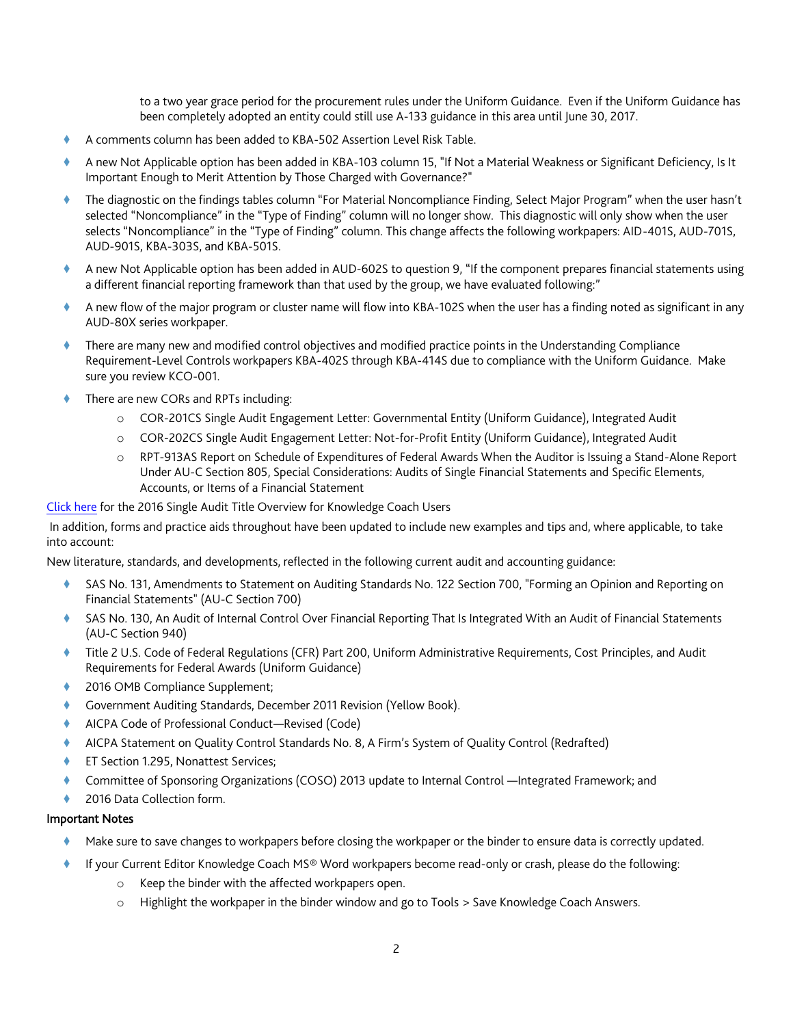to a two year grace period for the procurement rules under the Uniform Guidance. Even if the Uniform Guidance has been completely adopted an entity could still use A-133 guidance in this area until June 30, 2017.

- A comments column has been added to KBA-502 Assertion Level Risk Table.
- A new Not Applicable option has been added in KBA-103 column 15, "If Not a Material Weakness or Significant Deficiency, Is It Important Enough to Merit Attention by Those Charged with Governance?"
- The diagnostic on the findings tables column "For Material Noncompliance Finding, Select Major Program" when the user hasn't selected "Noncompliance" in the "Type of Finding" column will no longer show. This diagnostic will only show when the user selects "Noncompliance" in the "Type of Finding" column. This change affects the following workpapers: AID-401S, AUD-701S, AUD-901S, KBA-303S, and KBA-501S.
- A new Not Applicable option has been added in AUD-602S to question 9, "If the component prepares financial statements using a different financial reporting framework than that used by the group, we have evaluated following:"
- A new flow of the major program or cluster name will flow into KBA-102S when the user has a finding noted as significant in any AUD-80X series workpaper.
- There are many new and modified control objectives and modified practice points in the Understanding Compliance Requirement-Level Controls workpapers KBA-402S through KBA-414S due to compliance with the Uniform Guidance. Make sure you review KCO-001.
- There are new CORs and RPTs including:
	- o COR-201CS Single Audit Engagement Letter: Governmental Entity (Uniform Guidance), Integrated Audit
	- o COR-202CS Single Audit Engagement Letter: Not-for-Profit Entity (Uniform Guidance), Integrated Audit
	- o RPT-913AS Report on Schedule of Expenditures of Federal Awards When the Auditor is Issuing a Stand-Alone Report Under AU-C Section 805, Special Considerations: Audits of Single Financial Statements and Specific Elements, Accounts, or Items of a Financial Statement

#### [Click here](http://support.cch.com/updates/KnowledgeCoach/pdf/guides_tab/2016%20Single%20Audit%20Title%20Overview%20for%20Knowledge%20Coach%20Users.pdf) for the 2016 Single Audit Title Overview for Knowledge Coach Users

In addition, forms and practice aids throughout have been updated to include new examples and tips and, where applicable, to take into account:

New literature, standards, and developments, reflected in the following current audit and accounting guidance:

- SAS No. 131, Amendments to Statement on Auditing Standards No. 122 Section 700, "Forming an Opinion and Reporting on Financial Statements" (AU-C Section 700)
- SAS No. 130, An Audit of Internal Control Over Financial Reporting That Is Integrated With an Audit of Financial Statements (AU-C Section 940)
- Title 2 U.S. Code of Federal Regulations (CFR) Part 200, Uniform Administrative Requirements, Cost Principles, and Audit Requirements for Federal Awards (Uniform Guidance)
- 2016 OMB Compliance Supplement;
- Government Auditing Standards, December 2011 Revision (Yellow Book).
- AICPA Code of Professional Conduct—Revised (Code)
- AICPA Statement on Quality Control Standards No. 8, A Firm's System of Quality Control (Redrafted)
- ET Section 1.295, Nonattest Services;
- Committee of Sponsoring Organizations (COSO) 2013 update to Internal Control —Integrated Framework; and
- 2016 Data Collection form.

## Important Notes

- Make sure to save changes to workpapers before closing the workpaper or the binder to ensure data is correctly updated.
- If your Current Editor Knowledge Coach MS® Word workpapers become read-only or crash, please do the following:
	- o Keep the binder with the affected workpapers open.
	- o Highlight the workpaper in the binder window and go to Tools > Save Knowledge Coach Answers.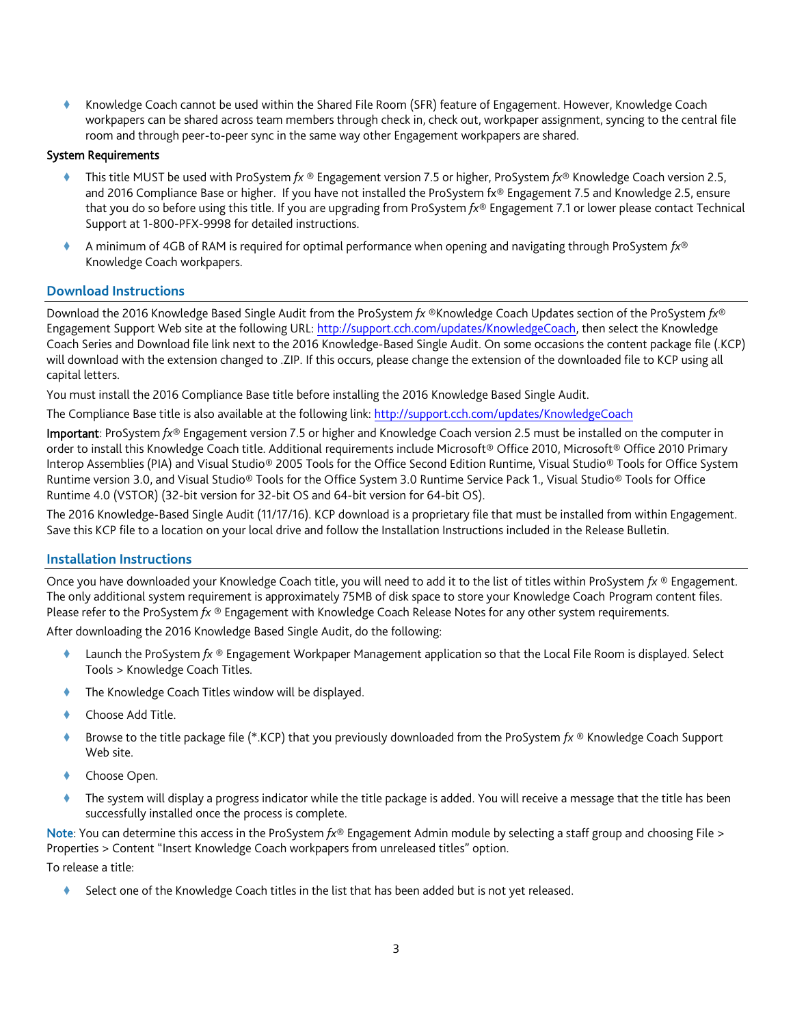Knowledge Coach cannot be used within the Shared File Room (SFR) feature of Engagement. However, Knowledge Coach workpapers can be shared across team members through check in, check out, workpaper assignment, syncing to the central file room and through peer-to-peer sync in the same way other Engagement workpapers are shared.

## System Requirements

- This title MUST be used with ProSystem *fx* ® Engagement version 7.5 or higher, ProSystem *fx*® Knowledge Coach version 2.5, and 2016 Compliance Base or higher. If you have not installed the ProSystem fx® Engagement 7.5 and Knowledge 2.5, ensure that you do so before using this title. If you are upgrading from ProSystem *fx*® Engagement 7.1 or lower please contact Technical Support at 1-800-PFX-9998 for detailed instructions.
- A minimum of 4GB of RAM is required for optimal performance when opening and navigating through ProSystem *fx*® Knowledge Coach workpapers.

# **Download Instructions**

Download the 2016 Knowledge Based Single Audit from the ProSystem *fx* ®Knowledge Coach Updates section of the ProSystem *fx*® Engagement Support Web site at the following URL: [http://support.cch.com/updates/KnowledgeCoach,](http://support.cch.com/updates/KnowledgeCoach) then select the Knowledge Coach Series and Download file link next to the 2016 Knowledge-Based Single Audit. On some occasions the content package file (.KCP) will download with the extension changed to .ZIP. If this occurs, please change the extension of the downloaded file to KCP using all capital letters.

You must install the 2016 Compliance Base title before installing the 2016 Knowledge Based Single Audit.

The Compliance Base title is also available at the following link:<http://support.cch.com/updates/KnowledgeCoach>

Important: ProSystem *fx*® Engagement version 7.5 or higher and Knowledge Coach version 2.5 must be installed on the computer in order to install this Knowledge Coach title. Additional requirements include Microsoft® Office 2010, Microsoft® Office 2010 Primary Interop Assemblies (PIA) and Visual Studio® 2005 Tools for the Office Second Edition Runtime, Visual Studio® Tools for Office System Runtime version 3.0, and Visual Studio® Tools for the Office System 3.0 Runtime Service Pack 1., Visual Studio® Tools for Office Runtime 4.0 (VSTOR) (32-bit version for 32-bit OS and 64-bit version for 64-bit OS).

The 2016 Knowledge-Based Single Audit (11/17/16). KCP download is a proprietary file that must be installed from within Engagement. Save this KCP file to a location on your local drive and follow the Installation Instructions included in the Release Bulletin.

# **Installation Instructions**

Once you have downloaded your Knowledge Coach title, you will need to add it to the list of titles within ProSystem *fx* ® Engagement. The only additional system requirement is approximately 75MB of disk space to store your Knowledge Coach Program content files. Please refer to the ProSystem *fx* ® Engagement with Knowledge Coach Release Notes for any other system requirements.

After downloading the 2016 Knowledge Based Single Audit, do the following:

- Launch the ProSystem *fx* ® Engagement Workpaper Management application so that the Local File Room is displayed. Select Tools > Knowledge Coach Titles.
- The Knowledge Coach Titles window will be displayed.
- Choose Add Title.
- Browse to the title package file (\*.KCP) that you previously downloaded from the ProSystem *fx* ® Knowledge Coach Support Web site.
- Choose Open.
- The system will display a progress indicator while the title package is added. You will receive a message that the title has been successfully installed once the process is complete.

Note: You can determine this access in the ProSystem *fx*® Engagement Admin module by selecting a staff group and choosing File > Properties > Content "Insert Knowledge Coach workpapers from unreleased titles" option.

To release a title:

Select one of the Knowledge Coach titles in the list that has been added but is not yet released.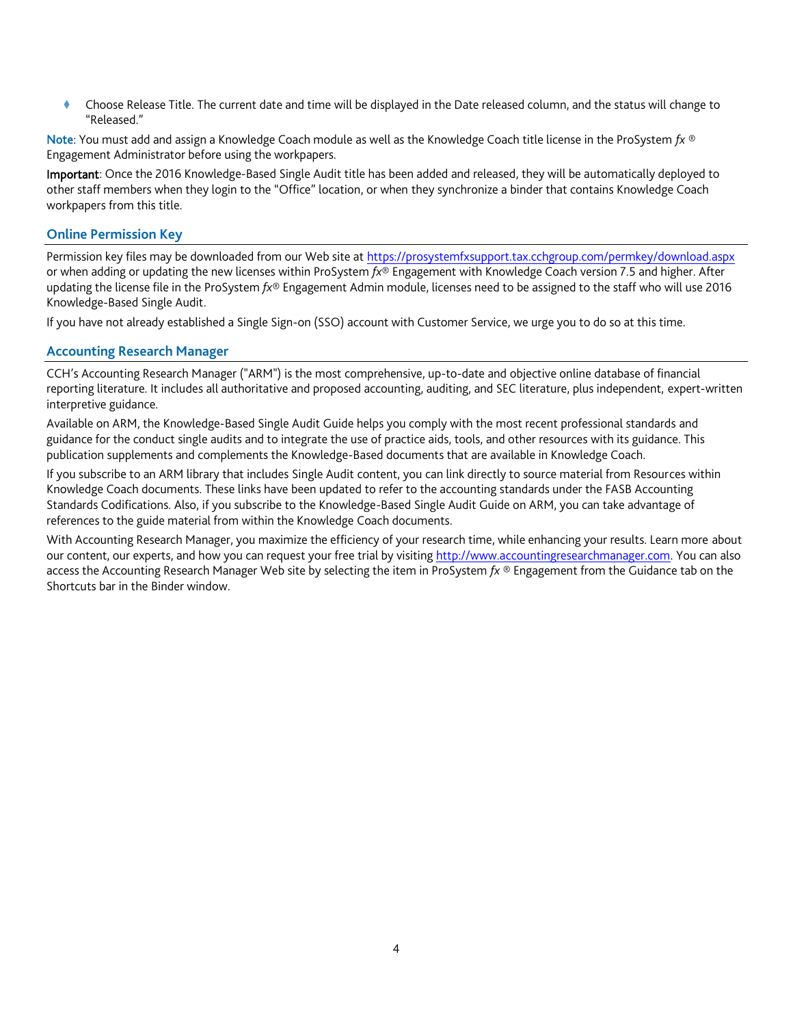Choose Release Title. The current date and time will be displayed in the Date released column, and the status will change to "Released."

Note: You must add and assign a Knowledge Coach module as well as the Knowledge Coach title license in the ProSystem *fx* ® Engagement Administrator before using the workpapers.

Important: Once the 2016 Knowledge-Based Single Audit title has been added and released, they will be automatically deployed to other staff members when they login to the "Office" location, or when they synchronize a binder that contains Knowledge Coach workpapers from this title.

## **Online Permission Key**

Permission key files may be downloaded from our Web site a[t https://prosystemfxsupport.tax.cchgroup.com/permkey/download.aspx](https://prosystemfxsupport.tax.cchgroup.com/permkey/download.aspx) or when adding or updating the new licenses within ProSystem *fx*® Engagement with Knowledge Coach version 7.5 and higher. After updating the license file in the ProSystem *fx*® Engagement Admin module, licenses need to be assigned to the staff who will use 2016 Knowledge-Based Single Audit.

If you have not already established a Single Sign-on (SSO) account with Customer Service, we urge you to do so at this time.

#### **Accounting Research Manager**

CCH's Accounting Research Manager ("ARM") is the most comprehensive, up-to-date and objective online database of financial reporting literature. It includes all authoritative and proposed accounting, auditing, and SEC literature, plus independent, expert-written interpretive guidance.

Available on ARM, the Knowledge-Based Single Audit Guide helps you comply with the most recent professional standards and guidance for the conduct single audits and to integrate the use of practice aids, tools, and other resources with its guidance. This publication supplements and complements the Knowledge-Based documents that are available in Knowledge Coach.

If you subscribe to an ARM library that includes Single Audit content, you can link directly to source material from Resources within Knowledge Coach documents. These links have been updated to refer to the accounting standards under the FASB Accounting Standards Codifications. Also, if you subscribe to the Knowledge-Based Single Audit Guide on ARM, you can take advantage of references to the guide material from within the Knowledge Coach documents.

With Accounting Research Manager, you maximize the efficiency of your research time, while enhancing your results. Learn more about our content, our experts, and how you can request your free trial by visiting [http://www.accountingresearchmanager.com.](http://www.accountingresearchmanager.com/) You can also access the Accounting Research Manager Web site by selecting the item in ProSystem *fx* ® Engagement from the Guidance tab on the Shortcuts bar in the Binder window.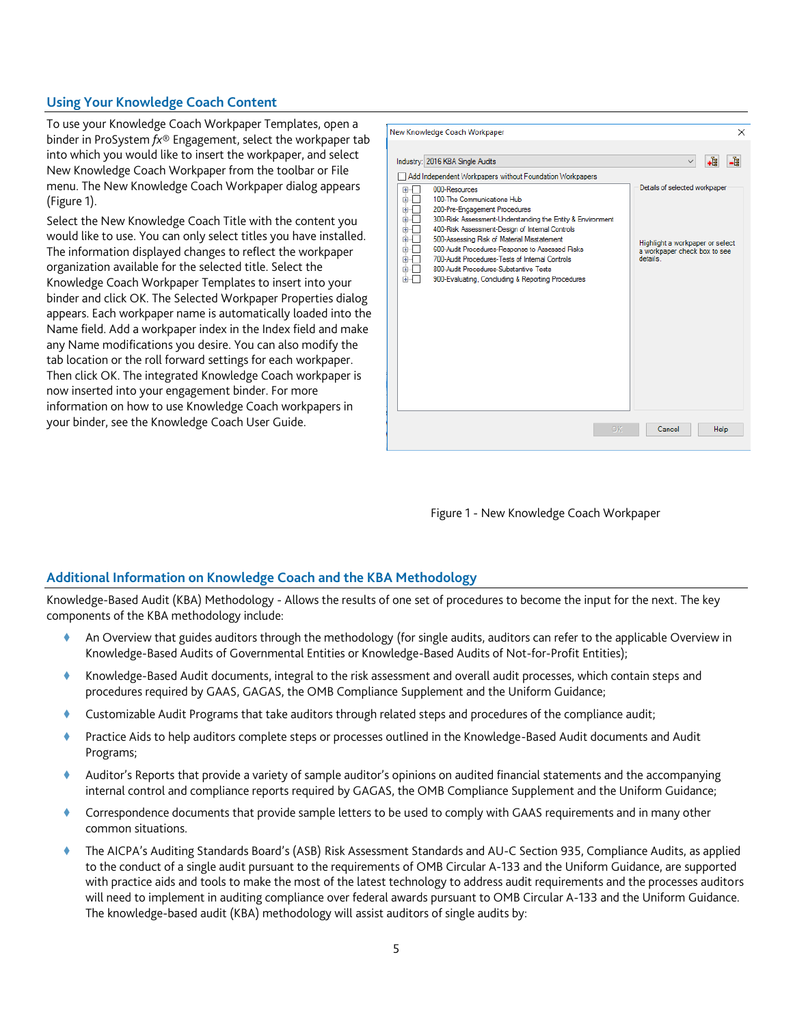## **Using Your Knowledge Coach Content**

To use your Knowledge Coach Workpaper Templates, open a binder in ProSystem *fx*® Engagement, select the workpaper tab into which you would like to insert the workpaper, and select New Knowledge Coach Workpaper from the toolbar or File menu. The New Knowledge Coach Workpaper dialog appears (Figure 1).

Select the New Knowledge Coach Title with the content you would like to use. You can only select titles you have installed. The information displayed changes to reflect the workpaper organization available for the selected title. Select the Knowledge Coach Workpaper Templates to insert into your binder and click OK. The Selected Workpaper Properties dialog appears. Each workpaper name is automatically loaded into the Name field. Add a workpaper index in the Index field and make any Name modifications you desire. You can also modify the tab location or the roll forward settings for each workpaper. Then click OK. The integrated Knowledge Coach workpaper is now inserted into your engagement binder. For more information on how to use Knowledge Coach workpapers in your binder, see the Knowledge Coach User Guide.

|                                  | Industry: 2016 KBA Single Audits                                                                                                                                                                                                                                                                                                                                  | -4<br>∙È                                                                                |
|----------------------------------|-------------------------------------------------------------------------------------------------------------------------------------------------------------------------------------------------------------------------------------------------------------------------------------------------------------------------------------------------------------------|-----------------------------------------------------------------------------------------|
| 田田<br>Œŀ<br>田                    | Add Independent Workpapers without Foundation Workpapers<br>000-Resources<br>100-The Communications Hub<br>200-Pre-Engagement Procedures                                                                                                                                                                                                                          | Details of selected workpaper                                                           |
| ÷<br>Ŧ<br>Ė<br>田<br>由<br>田<br>田… | 300-Risk Assessment-Understanding the Entity & Environment<br>400-Risk Assessment-Design of Internal Controls<br>500-Assessing Risk of Material Misstatement<br>600-Audit Procedures-Response to Assessed Risks<br>700-Audit Procedures-Tests of Internal Controls<br>800-Audit Procedures-Substantive Tests<br>900-Evaluating, Concluding & Reporting Procedures | Highlight a workpaper or select<br>a workpaper check box to see<br>details <sup>1</sup> |
|                                  |                                                                                                                                                                                                                                                                                                                                                                   |                                                                                         |
|                                  |                                                                                                                                                                                                                                                                                                                                                                   |                                                                                         |
|                                  |                                                                                                                                                                                                                                                                                                                                                                   |                                                                                         |

Figure 1 - New Knowledge Coach Workpaper

#### **Additional Information on Knowledge Coach and the KBA Methodology**

Knowledge-Based Audit (KBA) Methodology - Allows the results of one set of procedures to become the input for the next. The key components of the KBA methodology include:

- An Overview that guides auditors through the methodology (for single audits, auditors can refer to the applicable Overview in Knowledge-Based Audits of Governmental Entities or Knowledge-Based Audits of Not-for-Profit Entities);
- Knowledge-Based Audit documents, integral to the risk assessment and overall audit processes, which contain steps and procedures required by GAAS, GAGAS, the OMB Compliance Supplement and the Uniform Guidance;
- Customizable Audit Programs that take auditors through related steps and procedures of the compliance audit;
- Practice Aids to help auditors complete steps or processes outlined in the Knowledge-Based Audit documents and Audit Programs;
- Auditor's Reports that provide a variety of sample auditor's opinions on audited financial statements and the accompanying internal control and compliance reports required by GAGAS, the OMB Compliance Supplement and the Uniform Guidance;
- Correspondence documents that provide sample letters to be used to comply with GAAS requirements and in many other common situations.
- The AICPA's Auditing Standards Board's (ASB) Risk Assessment Standards and AU-C Section 935, Compliance Audits, as applied to the conduct of a single audit pursuant to the requirements of OMB Circular A-133 and the Uniform Guidance, are supported with practice aids and tools to make the most of the latest technology to address audit requirements and the processes auditors will need to implement in auditing compliance over federal awards pursuant to OMB Circular A-133 and the Uniform Guidance. The knowledge-based audit (KBA) methodology will assist auditors of single audits by: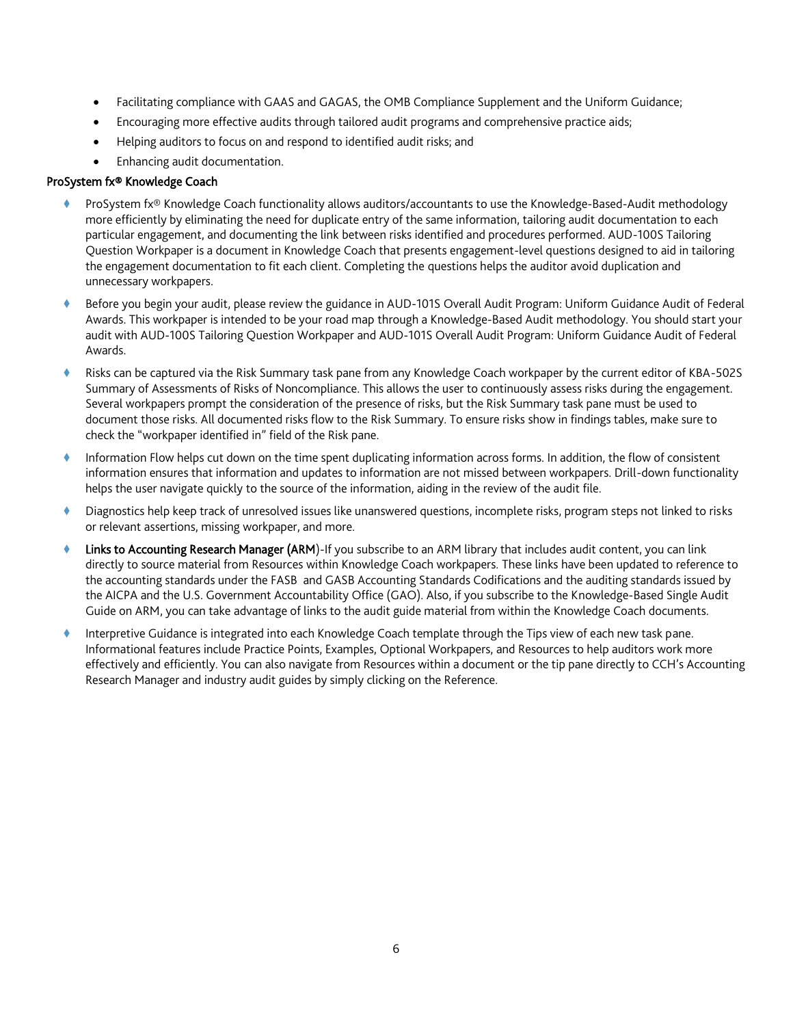- Facilitating compliance with GAAS and GAGAS, the OMB Compliance Supplement and the Uniform Guidance;
- Encouraging more effective audits through tailored audit programs and comprehensive practice aids;
- Helping auditors to focus on and respond to identified audit risks; and
- Enhancing audit documentation.

#### ProSystem fx® Knowledge Coach

- ProSystem fx® Knowledge Coach functionality allows auditors/accountants to use the Knowledge-Based-Audit methodology more efficiently by eliminating the need for duplicate entry of the same information, tailoring audit documentation to each particular engagement, and documenting the link between risks identified and procedures performed. AUD-100S Tailoring Question Workpaper is a document in Knowledge Coach that presents engagement-level questions designed to aid in tailoring the engagement documentation to fit each client. Completing the questions helps the auditor avoid duplication and unnecessary workpapers.
- Before you begin your audit, please review the guidance in AUD-101S Overall Audit Program: Uniform Guidance Audit of Federal Awards. This workpaper is intended to be your road map through a Knowledge-Based Audit methodology. You should start your audit with AUD-100S Tailoring Question Workpaper and AUD-101S Overall Audit Program: Uniform Guidance Audit of Federal Awards.
- Risks can be captured via the Risk Summary task pane from any Knowledge Coach workpaper by the current editor of KBA-502S Summary of Assessments of Risks of Noncompliance. This allows the user to continuously assess risks during the engagement. Several workpapers prompt the consideration of the presence of risks, but the Risk Summary task pane must be used to document those risks. All documented risks flow to the Risk Summary. To ensure risks show in findings tables, make sure to check the "workpaper identified in" field of the Risk pane.
- Information Flow helps cut down on the time spent duplicating information across forms. In addition, the flow of consistent information ensures that information and updates to information are not missed between workpapers. Drill-down functionality helps the user navigate quickly to the source of the information, aiding in the review of the audit file.
- Diagnostics help keep track of unresolved issues like unanswered questions, incomplete risks, program steps not linked to risks or relevant assertions, missing workpaper, and more.
- Links to Accounting Research Manager (ARM)-If you subscribe to an ARM library that includes audit content, you can link directly to source material from Resources within Knowledge Coach workpapers. These links have been updated to reference to the accounting standards under the FASB and GASB Accounting Standards Codifications and the auditing standards issued by the AICPA and the U.S. Government Accountability Office (GAO). Also, if you subscribe to the Knowledge-Based Single Audit Guide on ARM, you can take advantage of links to the audit guide material from within the Knowledge Coach documents.
- Interpretive Guidance is integrated into each Knowledge Coach template through the Tips view of each new task pane. Informational features include Practice Points, Examples, Optional Workpapers, and Resources to help auditors work more effectively and efficiently. You can also navigate from Resources within a document or the tip pane directly to CCH's Accounting Research Manager and industry audit guides by simply clicking on the Reference.